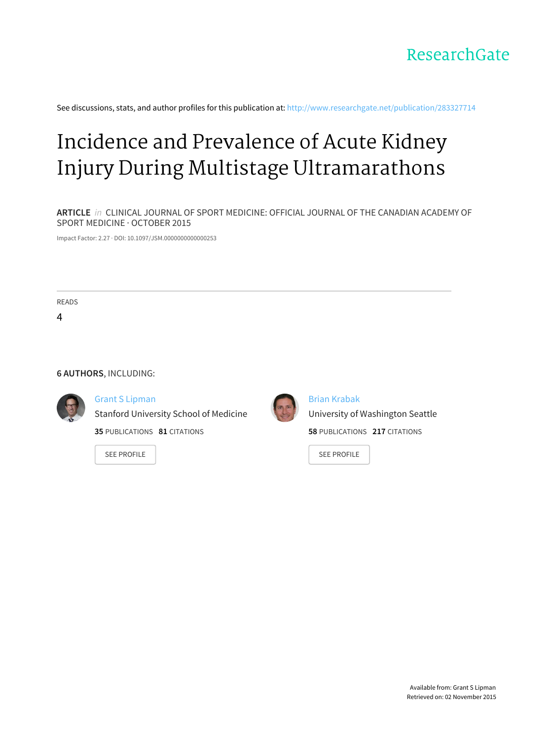

See discussions, stats, and author profiles for this publication at: [http://www.researchgate.net/publication/283327714](http://www.researchgate.net/publication/283327714_Incidence_and_Prevalence_of_Acute_Kidney_Injury_During_Multistage_Ultramarathons?enrichId=rgreq-b182a95c-38e7-4ddb-99f0-785ae8d3e34b&enrichSource=Y292ZXJQYWdlOzI4MzMyNzcxNDtBUzoyOTEzODYyODE3NDIzMzZAMTQ0NjQ4MzMxMTM4OA%3D%3D&el=1_x_2)

# Incidence and Prevalence of Acute Kidney Injury During Multistage [Ultramarathons](http://www.researchgate.net/publication/283327714_Incidence_and_Prevalence_of_Acute_Kidney_Injury_During_Multistage_Ultramarathons?enrichId=rgreq-b182a95c-38e7-4ddb-99f0-785ae8d3e34b&enrichSource=Y292ZXJQYWdlOzI4MzMyNzcxNDtBUzoyOTEzODYyODE3NDIzMzZAMTQ0NjQ4MzMxMTM4OA%3D%3D&el=1_x_3)

**ARTICLE** in CLINICAL JOURNAL OF SPORT MEDICINE: OFFICIAL JOURNAL OF THE CANADIAN ACADEMY OF SPORT MEDICINE · OCTOBER 2015

Impact Factor: 2.27 · DOI: 10.1097/JSM.0000000000000253

READS

4

### **6 AUTHORS**, INCLUDING:



#### Grant S [Lipman](http://www.researchgate.net/profile/Grant_Lipman?enrichId=rgreq-b182a95c-38e7-4ddb-99f0-785ae8d3e34b&enrichSource=Y292ZXJQYWdlOzI4MzMyNzcxNDtBUzoyOTEzODYyODE3NDIzMzZAMTQ0NjQ4MzMxMTM4OA%3D%3D&el=1_x_5)

Stanford University School of Medicine

**35** PUBLICATIONS **81** CITATIONS

SEE [PROFILE](http://www.researchgate.net/profile/Grant_Lipman?enrichId=rgreq-b182a95c-38e7-4ddb-99f0-785ae8d3e34b&enrichSource=Y292ZXJQYWdlOzI4MzMyNzcxNDtBUzoyOTEzODYyODE3NDIzMzZAMTQ0NjQ4MzMxMTM4OA%3D%3D&el=1_x_7)



Brian [Krabak](http://www.researchgate.net/profile/Brian_Krabak?enrichId=rgreq-b182a95c-38e7-4ddb-99f0-785ae8d3e34b&enrichSource=Y292ZXJQYWdlOzI4MzMyNzcxNDtBUzoyOTEzODYyODE3NDIzMzZAMTQ0NjQ4MzMxMTM4OA%3D%3D&el=1_x_5) University of [Washington](http://www.researchgate.net/institution/University_of_Washington_Seattle?enrichId=rgreq-b182a95c-38e7-4ddb-99f0-785ae8d3e34b&enrichSource=Y292ZXJQYWdlOzI4MzMyNzcxNDtBUzoyOTEzODYyODE3NDIzMzZAMTQ0NjQ4MzMxMTM4OA%3D%3D&el=1_x_6) Seattle **58** PUBLICATIONS **217** CITATIONS

SEE [PROFILE](http://www.researchgate.net/profile/Brian_Krabak?enrichId=rgreq-b182a95c-38e7-4ddb-99f0-785ae8d3e34b&enrichSource=Y292ZXJQYWdlOzI4MzMyNzcxNDtBUzoyOTEzODYyODE3NDIzMzZAMTQ0NjQ4MzMxMTM4OA%3D%3D&el=1_x_7)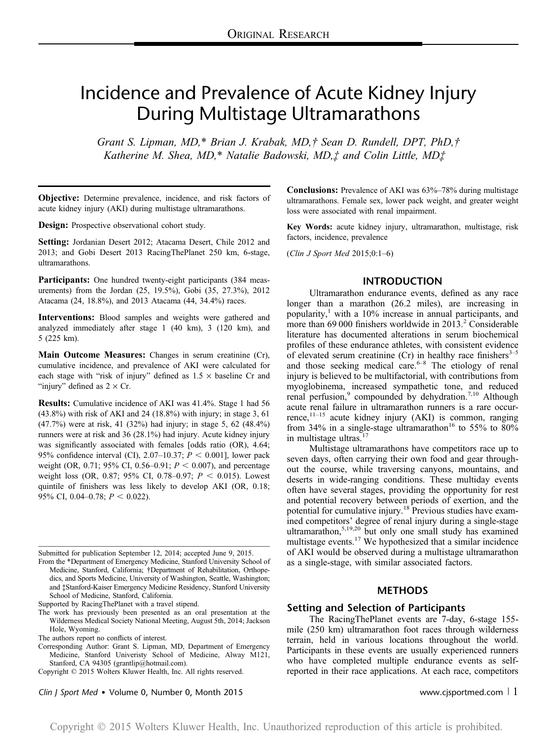## Incidence and Prevalence of Acute Kidney Injury During Multistage Ultramarathons

Grant S. Lipman, MD,\* Brian J. Krabak, MD,† Sean D. Rundell, DPT, PhD,† Katherine M. Shea, MD,\* Natalie Badowski, MD,‡ and Colin Little, MD‡

Objective: Determine prevalence, incidence, and risk factors of acute kidney injury (AKI) during multistage ultramarathons.

Design: Prospective observational cohort study.

Setting: Jordanian Desert 2012; Atacama Desert, Chile 2012 and 2013; and Gobi Desert 2013 RacingThePlanet 250 km, 6-stage, ultramarathons.

Participants: One hundred twenty-eight participants (384 measurements) from the Jordan (25, 19.5%), Gobi (35, 27.3%), 2012 Atacama (24, 18.8%), and 2013 Atacama (44, 34.4%) races.

Interventions: Blood samples and weights were gathered and analyzed immediately after stage 1 (40 km), 3 (120 km), and 5 (225 km).

Main Outcome Measures: Changes in serum creatinine (Cr), cumulative incidence, and prevalence of AKI were calculated for each stage with "risk of injury" defined as  $1.5 \times$  baseline Cr and "injury" defined as  $2 \times Cr$ .

Results: Cumulative incidence of AKI was 41.4%. Stage 1 had 56 (43.8%) with risk of AKI and 24 (18.8%) with injury; in stage 3, 61 (47.7%) were at risk, 41 (32%) had injury; in stage 5, 62 (48.4%) runners were at risk and 36 (28.1%) had injury. Acute kidney injury was significantly associated with females [odds ratio (OR), 4.64; 95% confidence interval (CI), 2.07-10.37;  $P < 0.001$ ], lower pack weight (OR, 0.71; 95% CI, 0.56–0.91;  $P < 0.007$ ), and percentage weight loss (OR, 0.87; 95% CI, 0.78–0.97;  $P < 0.015$ ). Lowest quintile of finishers was less likely to develop AKI (OR, 0.18; 95% CI, 0.04–0.78;  $P < 0.022$ ).

Submitted for publication September 12, 2014; accepted June 9, 2015.

From the \*Department of Emergency Medicine, Stanford University School of Medicine, Stanford, California; †Department of Rehabilitation, Orthopedics, and Sports Medicine, University of Washington, Seattle, Washington; and ‡Stanford-Kaiser Emergency Medicine Residency, Stanford University School of Medicine, Stanford, California.

Supported by RacingThePlanet with a travel stipend.

The work has previously been presented as an oral presentation at the Wilderness Medical Society National Meeting, August 5th, 2014; Jackson Hole, Wyoming.

Clin J Sport Med • Volume 0, Number 0, Month 2015 www.cjsportmed.com | 1

Conclusions: Prevalence of AKI was 63%–78% during multistage ultramarathons. Female sex, lower pack weight, and greater weight loss were associated with renal impairment.

Key Words: acute kidney injury, ultramarathon, multistage, risk factors, incidence, prevalence

(Clin J Sport Med 2015;0:1–6)

#### INTRODUCTION

Ultramarathon endurance events, defined as any race longer than a marathon (26.2 miles), are increasing in popularity, $\frac{1}{1}$  with a 10% increase in annual participants, and more than 69 000 finishers worldwide in 2013.<sup>2</sup> Considerable literature has documented alterations in serum biochemical profiles of these endurance athletes, with consistent evidence of elevated serum creatinine (Cr) in healthy race finishers $3-5$ and those seeking medical care. $6-8$  The etiology of renal injury is believed to be multifactorial, with contributions from myoglobinema, increased sympathetic tone, and reduced renal perfusion,<sup>9</sup> compounded by dehydration.<sup>7,10</sup> Although acute renal failure in ultramarathon runners is a rare occurrence, $11-15$  acute kidney injury (AKI) is common, ranging from 34% in a single-stage ultramarathon<sup>16</sup> to 55% to 80% in multistage ultras.<sup>17</sup>

Multistage ultramarathons have competitors race up to seven days, often carrying their own food and gear throughout the course, while traversing canyons, mountains, and deserts in wide-ranging conditions. These multiday events often have several stages, providing the opportunity for rest and potential recovery between periods of exertion, and the potential for cumulative injury.<sup>18</sup> Previous studies have examined competitors' degree of renal injury during a single-stage ultramarathon,<sup>5,19,20</sup> but only one small study has examined multistage events.<sup>17</sup> We hypothesized that a similar incidence of AKI would be observed during a multistage ultramarathon as a single-stage, with similar associated factors.

### **METHODS**

### Setting and Selection of Participants

The RacingThePlanet events are 7-day, 6-stage 155 mile (250 km) ultramarathon foot races through wilderness terrain, held in various locations throughout the world. Participants in these events are usually experienced runners who have completed multiple endurance events as selfreported in their race applications. At each race, competitors

The authors report no conflicts of interest.

Corresponding Author: Grant S. Lipman, MD, Department of Emergency Medicine, Stanford Univeristy School of Medicine, Alway M121, Stanford, CA 94305 ([grantlip@hotmail.com](mailto:grantlip@hotmail.com)).

Copyright © 2015 Wolters Kluwer Health, Inc. All rights reserved.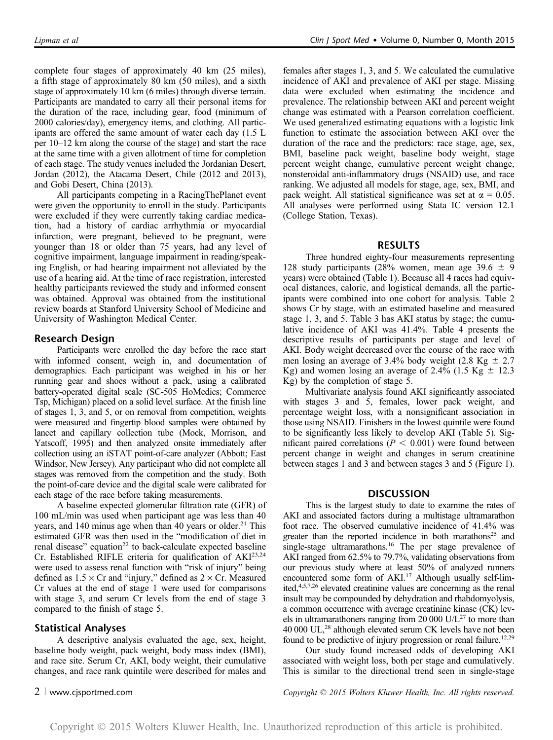complete four stages of approximately 40 km (25 miles), a fifth stage of approximately 80 km (50 miles), and a sixth stage of approximately 10 km (6 miles) through diverse terrain. Participants are mandated to carry all their personal items for the duration of the race, including gear, food (minimum of 2000 calories/day), emergency items, and clothing. All participants are offered the same amount of water each day (1.5 L per 10–12 km along the course of the stage) and start the race at the same time with a given allotment of time for completion of each stage. The study venues included the Jordanian Desert, Jordan (2012), the Atacama Desert, Chile (2012 and 2013), and Gobi Desert, China (2013).

All participants competing in a RacingThePlanet event were given the opportunity to enroll in the study. Participants were excluded if they were currently taking cardiac medication, had a history of cardiac arrhythmia or myocardial infarction, were pregnant, believed to be pregnant, were younger than 18 or older than 75 years, had any level of cognitive impairment, language impairment in reading/speaking English, or had hearing impairment not alleviated by the use of a hearing aid. At the time of race registration, interested healthy participants reviewed the study and informed consent was obtained. Approval was obtained from the institutional review boards at Stanford University School of Medicine and University of Washington Medical Center.

### Research Design

Participants were enrolled the day before the race start with informed consent, weigh in, and documentation of demographics. Each participant was weighed in his or her running gear and shoes without a pack, using a calibrated battery-operated digital scale (SC-505 HoMedics; Commerce Tsp, Michigan) placed on a solid level surface. At the finish line of stages 1, 3, and 5, or on removal from competition, weights were measured and fingertip blood samples were obtained by lancet and capillary collection tube (Mock, Morrison, and Yatscoff, 1995) and then analyzed onsite immediately after collection using an iSTAT point-of-care analyzer (Abbott; East Windsor, New Jersey). Any participant who did not complete all stages was removed from the competition and the study. Both the point-of-care device and the digital scale were calibrated for each stage of the race before taking measurements.

A baseline expected glomerular filtration rate (GFR) of 100 mL/min was used when participant age was less than 40 years, and 140 minus age when than 40 years or older.<sup>21</sup> This estimated GFR was then used in the "modification of diet in renal disease" equation<sup>22</sup> to back-calculate expected baseline Cr. Established RIFLE criteria for qualification of AKI<sup>23,24</sup> were used to assess renal function with "risk of injury" being defined as  $1.5 \times$  Cr and "injury," defined as  $2 \times$  Cr. Measured Cr values at the end of stage 1 were used for comparisons with stage 3, and serum Cr levels from the end of stage 3 compared to the finish of stage 5.

#### Statistical Analyses

A descriptive analysis evaluated the age, sex, height, baseline body weight, pack weight, body mass index (BMI), and race site. Serum Cr, AKI, body weight, their cumulative changes, and race rank quintile were described for males and females after stages 1, 3, and 5. We calculated the cumulative incidence of AKI and prevalence of AKI per stage. Missing data were excluded when estimating the incidence and prevalence. The relationship between AKI and percent weight change was estimated with a Pearson correlation coefficient. We used generalized estimating equations with a logistic link function to estimate the association between AKI over the duration of the race and the predictors: race stage, age, sex, BMI, baseline pack weight, baseline body weight, stage percent weight change, cumulative percent weight change, nonsteroidal anti-inflammatory drugs (NSAID) use, and race ranking. We adjusted all models for stage, age, sex, BMI, and pack weight. All statistical significance was set at  $\alpha = 0.05$ . All analyses were performed using Stata IC version 12.1 (College Station, Texas).

#### RESULTS

Three hundred eighty-four measurements representing 128 study participants (28% women, mean age 39.6  $\pm$  9 years) were obtained (Table 1). Because all 4 races had equivocal distances, caloric, and logistical demands, all the participants were combined into one cohort for analysis. Table 2 shows Cr by stage, with an estimated baseline and measured stage 1, 3, and 5. Table 3 has AKI status by stage; the cumulative incidence of AKI was 41.4%. Table 4 presents the descriptive results of participants per stage and level of AKI. Body weight decreased over the course of the race with men losing an average of 3.4% body weight (2.8 Kg  $\pm$  2.7 Kg) and women losing an average of 2.4% (1.5 Kg  $\pm$  12.3 Kg) by the completion of stage 5.

Multivariate analysis found AKI significantly associated with stages 3 and 5, females, lower pack weight, and percentage weight loss, with a nonsignificant association in those using NSAID. Finishers in the lowest quintile were found to be significantly less likely to develop AKI (Table 5). Significant paired correlations ( $P < 0.001$ ) were found between percent change in weight and changes in serum creatinine between stages 1 and 3 and between stages 3 and 5 (Figure 1).

### **DISCUSSION**

This is the largest study to date to examine the rates of AKI and associated factors during a multistage ultramarathon foot race. The observed cumulative incidence of 41.4% was greater than the reported incidence in both marathons<sup>25</sup> and single-stage ultramarathons.<sup>16</sup> The per stage prevalence of AKI ranged from 62.5% to 79.7%, validating observations from our previous study where at least 50% of analyzed runners encountered some form of AKI.<sup>17</sup> Although usually self-limited,4,5,7,26 elevated creatinine values are concerning as the renal insult may be compounded by dehydration and rhabdomyolysis, a common occurrence with average creatinine kinase (CK) levels in ultramarathoners ranging from 20 000  $U/L^{27}$  to more than 40 000 UL,<sup>28</sup> although elevated serum CK levels have not been found to be predictive of injury progression or renal failure.<sup>12,29</sup>

Our study found increased odds of developing AKI associated with weight loss, both per stage and cumulatively. This is similar to the directional trend seen in single-stage

2 <sup>|</sup> www.cjsportmed.com Copyright © 2015 Wolters Kluwer Health, Inc. All rights reserved.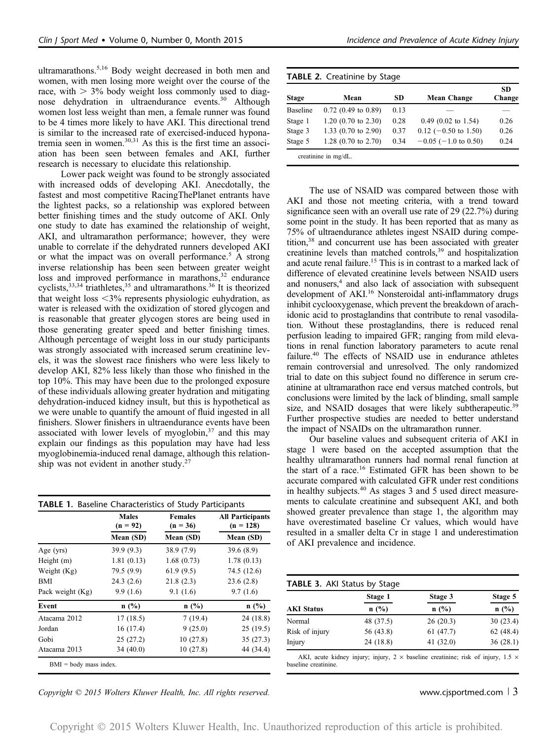ultramarathons.5,16 Body weight decreased in both men and women, with men losing more weight over the course of the race, with  $> 3\%$  body weight loss commonly used to diagnose dehydration in ultraendurance events.<sup>30</sup> Although women lost less weight than men, a female runner was found to be 4 times more likely to have AKI. This directional trend is similar to the increased rate of exercised-induced hyponatremia seen in women. $30,31$  As this is the first time an association has been seen between females and AKI, further research is necessary to elucidate this relationship.

Lower pack weight was found to be strongly associated with increased odds of developing AKI. Anecdotally, the fastest and most competitive RacingThePlanet entrants have the lightest packs, so a relationship was explored between better finishing times and the study outcome of AKI. Only one study to date has examined the relationship of weight, AKI, and ultramarathon performance; however, they were unable to correlate if the dehydrated runners developed AKI or what the impact was on overall performance.<sup>5</sup> A strong inverse relationship has been seen between greater weight loss and improved performance in marathons,<sup>32</sup> endurance cyclists,  $33,34$  triathletes,  $35$  and ultramarathons.  $36$  It is theorized that weight loss  $\langle 3\%$  represents physiologic euhydration, as water is released with the oxidization of stored glycogen and is reasonable that greater glycogen stores are being used in those generating greater speed and better finishing times. Although percentage of weight loss in our study participants was strongly associated with increased serum creatinine levels, it was the slowest race finishers who were less likely to develop AKI, 82% less likely than those who finished in the top 10%. This may have been due to the prolonged exposure of these individuals allowing greater hydration and mitigating dehydration-induced kidney insult, but this is hypothetical as we were unable to quantify the amount of fluid ingested in all finishers. Slower finishers in ultraendurance events have been associated with lower levels of myoglobin,<sup>37</sup> and this may explain our findings as this population may have had less myoglobinemia-induced renal damage, although this relationship was not evident in another study. $27$ 

|                  | <b>Males</b><br>$(n = 92)$ | <b>Females</b><br>$(n = 36)$ | <b>All Participants</b><br>$(n = 128)$ |
|------------------|----------------------------|------------------------------|----------------------------------------|
|                  | Mean (SD)                  | Mean (SD)                    | Mean (SD)                              |
| Age $(yrs)$      | 39.9 (9.3)                 | 38.9(7.9)                    | 39.6(8.9)                              |
| Height $(m)$     | 1.81(0.13)                 | 1.68(0.73)                   | 1.78(0.13)                             |
| Weight (Kg)      | 79.5 (9.9)                 | 61.9(9.5)                    | 74.5 (12.6)                            |
| BMI              | 24.3(2.6)                  | 21.8(2.3)                    | 23.6(2.8)                              |
| Pack weight (Kg) | 9.9(1.6)                   | 9.1(1.6)                     | 9.7(1.6)                               |
| Event            | n(%)                       | n(%)                         | n(%)                                   |
| Atacama 2012     | 17(18.5)                   | 7(19.4)                      | 24(18.8)                               |
| Jordan           | 16 (17.4)                  | 9(25.0)                      | 25(19.5)                               |
| Gobi             | 25(27.2)                   | 10(27.8)                     | 35(27.3)                               |
| Atacama 2013     | 34(40.0)                   | 10(27.8)                     | 44 (34.4)                              |

| Copyright © 2015 Wolters Kluwer Health, Inc. All rights reserved. | www.cjsportmed.com $\vert$ 3 |
|-------------------------------------------------------------------|------------------------------|
|-------------------------------------------------------------------|------------------------------|

| <b>Stage</b>    | Mean                           | SD.  | <b>Mean Change</b>        | <b>SD</b><br>Change |
|-----------------|--------------------------------|------|---------------------------|---------------------|
| <b>Baseline</b> | $0.72$ (0.49 to 0.89)          | 0.13 |                           |                     |
| Stage 1         | $1.20$ (0.70 to 2.30)          | 0.28 | $0.49$ (0.02 to 1.54)     | 0.26                |
| Stage 3         | 1.33 $(0.70 \text{ to } 2.90)$ | 0.37 | $0.12$ (-0.50 to 1.50)    | 0.26                |
| Stage 5         | 1.28 $(0.70 \text{ to } 2.70)$ | 0.34 | $-0.05$ ( $-1.0$ to 0.50) | 0.24                |

The use of NSAID was compared between those with AKI and those not meeting criteria, with a trend toward significance seen with an overall use rate of 29 (22.7%) during some point in the study. It has been reported that as many as 75% of ultraendurance athletes ingest NSAID during competition,38 and concurrent use has been associated with greater creatinine levels than matched controls,<sup>39</sup> and hospitalization and acute renal failure.<sup>15</sup> This is in contrast to a marked lack of difference of elevated creatinine levels between NSAID users and nonusers,<sup>4</sup> and also lack of association with subsequent development of AKI.<sup>16</sup> Nonsteroidal anti-inflammatory drugs inhibit cyclooxygenase, which prevent the breakdown of arachidonic acid to prostaglandins that contribute to renal vasodilation. Without these prostaglandins, there is reduced renal perfusion leading to impaired GFR; ranging from mild elevations in renal function laboratory parameters to acute renal failure.<sup>40</sup> The effects of NSAID use in endurance athletes remain controversial and unresolved. The only randomized trial to date on this subject found no difference in serum creatinine at ultramarathon race end versus matched controls, but conclusions were limited by the lack of blinding, small sample size, and NSAID dosages that were likely subtherapeutic.<sup>39</sup> Further prospective studies are needed to better understand the impact of NSAIDs on the ultramarathon runner.

Our baseline values and subsequent criteria of AKI in stage 1 were based on the accepted assumption that the healthy ultramarathon runners had normal renal function at the start of a race.<sup>16</sup> Estimated GFR has been shown to be accurate compared with calculated GFR under rest conditions in healthy subjects.<sup>40</sup> As stages 3 and 5 used direct measurements to calculate creatinine and subsequent AKI, and both showed greater prevalence than stage 1, the algorithm may have overestimated baseline Cr values, which would have resulted in a smaller delta Cr in stage 1 and underestimation of AKI prevalence and incidence.

| TABLE 3. AKI Status by Stage |           |             |          |
|------------------------------|-----------|-------------|----------|
|                              | Stage 1   | Stage 3     | Stage 5  |
| <b>AKI Status</b>            | n(%)      | n(%)        | n(%)     |
| Normal                       | 48 (37.5) | 26(20.3)    | 30(23.4) |
| Risk of injury               | 56 (43.8) | 61(47.7)    | 62(48.4) |
| Injury                       | 24 (18.8) | 41 $(32.0)$ | 36(28.1) |

AKI, acute kidney injury; injury,  $2 \times$  baseline creatinine; risk of injury,  $1.5 \times$ baseline creatinine.

Copyright © 2015 Wolters Kluwer Health, Inc. Unauthorized reproduction of this article is prohibited.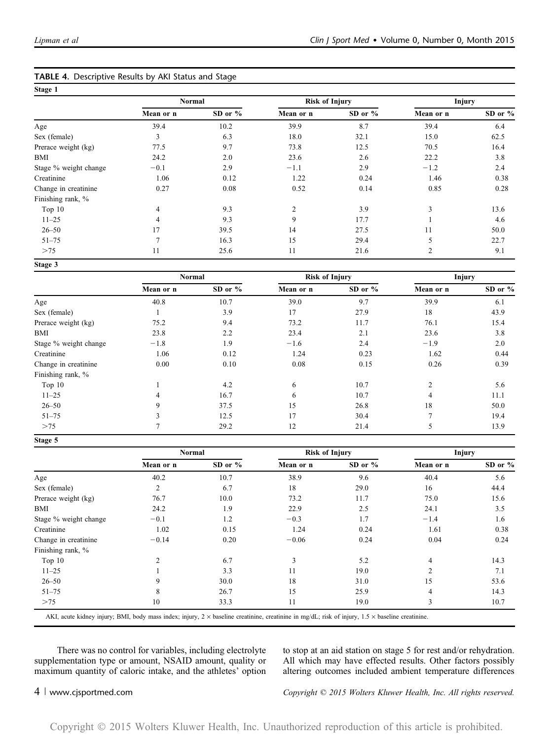|                       | Normal         |         | <b>Risk of Injury</b> |         | <b>Injury</b>  |         |
|-----------------------|----------------|---------|-----------------------|---------|----------------|---------|
|                       | Mean or n      | SD or % | Mean or n             | SD or % | Mean or n      | SD or % |
| Age                   | 39.4           | 10.2    | 39.9                  | 8.7     | 39.4           | 6.4     |
| Sex (female)          | 3              | 6.3     | 18.0                  | 32.1    | 15.0           | 62.5    |
| Prerace weight (kg)   | 77.5           | 9.7     | 73.8                  | 12.5    | 70.5           | 16.4    |
| BMI                   | 24.2           | 2.0     | 23.6                  | 2.6     | 22.2           | 3.8     |
| Stage % weight change | $-0.1$         | 2.9     | $-1.1$                | 2.9     | $-1.2$         | 2.4     |
| Creatinine            | 1.06           | 0.12    | 1.22                  | 0.24    | 1.46           | 0.38    |
| Change in creatinine  | 0.27           | 0.08    | 0.52                  | 0.14    | 0.85           | 0.28    |
| Finishing rank, %     |                |         |                       |         |                |         |
| Top 10                | 4              | 9.3     | $\overline{c}$        | 3.9     | 3              | 13.6    |
| $11 - 25$             | 4              | 9.3     | 9                     | 17.7    |                | 4.6     |
| $26 - 50$             | 17             | 39.5    | 14                    | 27.5    | 11             | 50.0    |
| $51 - 75$             | $\overline{7}$ | 16.3    | 15                    | 29.4    | 5              | 22.7    |
| >75                   | 11             | 25.6    | 11                    | 21.6    | $\overline{c}$ | 9.1     |
| Stage 3               |                |         |                       |         |                |         |

| TABLE 4. Descriptive Results by AKI Status and Stage |  |
|------------------------------------------------------|--|
|------------------------------------------------------|--|

|                       | Normal    |         | <b>Risk of Injury</b> |           | <b>Injury</b>  |         |
|-----------------------|-----------|---------|-----------------------|-----------|----------------|---------|
|                       | Mean or n | SD or % | Mean or n             | SD or $%$ | Mean or n      | SD or % |
| Age                   | 40.8      | 10.7    | 39.0                  | 9.7       | 39.9           | 6.1     |
| Sex (female)          |           | 3.9     | 17                    | 27.9      | 18             | 43.9    |
| Prerace weight (kg)   | 75.2      | 9.4     | 73.2                  | 11.7      | 76.1           | 15.4    |
| BMI                   | 23.8      | 2.2     | 23.4                  | 2.1       | 23.6           | 3.8     |
| Stage % weight change | $-1.8$    | 1.9     | $-1.6$                | 2.4       | $-1.9$         | 2.0     |
| Creatinine            | 1.06      | 0.12    | 1.24                  | 0.23      | 1.62           | 0.44    |
| Change in creatinine  | 0.00      | 0.10    | 0.08                  | 0.15      | 0.26           | 0.39    |
| Finishing rank, %     |           |         |                       |           |                |         |
| Top 10                |           | 4.2     | 6                     | 10.7      | $\overline{2}$ | 5.6     |
| $11 - 25$             | 4         | 16.7    | 6                     | 10.7      | $\overline{4}$ | 11.1    |
| $26 - 50$             | 9         | 37.5    | 15                    | 26.8      | 18             | 50.0    |
| $51 - 75$             | 3         | 12.5    | 17                    | 30.4      | $\overline{7}$ | 19.4    |
| >75                   | 7         | 29.2    | 12                    | 21.4      | 5              | 13.9    |
| Stage 5               |           |         |                       |           |                |         |

|                       |                | <b>Risk of Injury</b><br><b>Normal</b> |           |         | <b>Injury</b>  |         |
|-----------------------|----------------|----------------------------------------|-----------|---------|----------------|---------|
|                       | Mean or n      | SD or %                                | Mean or n | SD or % | Mean or n      | SD or % |
| Age                   | 40.2           | 10.7                                   | 38.9      | 9.6     | 40.4           | 5.6     |
| Sex (female)          | 2              | 6.7                                    | 18        | 29.0    | 16             | 44.4    |
| Prerace weight (kg)   | 76.7           | 10.0                                   | 73.2      | 11.7    | 75.0           | 15.6    |
| BMI                   | 24.2           | 1.9                                    | 22.9      | 2.5     | 24.1           | 3.5     |
| Stage % weight change | $-0.1$         | 1.2                                    | $-0.3$    | 1.7     | $-1.4$         | 1.6     |
| Creatinine            | 1.02           | 0.15                                   | 1.24      | 0.24    | 1.61           | 0.38    |
| Change in creatinine  | $-0.14$        | 0.20                                   | $-0.06$   | 0.24    | 0.04           | 0.24    |
| Finishing rank, %     |                |                                        |           |         |                |         |
| Top $10$              | $\overline{2}$ | 6.7                                    | 3         | 5.2     | 4              | 14.3    |
| $11 - 25$             |                | 3.3                                    | 11        | 19.0    | $\mathfrak{D}$ | 7.1     |
| $26 - 50$             | 9              | 30.0                                   | 18        | 31.0    | 15             | 53.6    |
| $51 - 75$             | 8              | 26.7                                   | 15        | 25.9    | 4              | 14.3    |
| >75                   | 10             | 33.3                                   | 11        | 19.0    | 3              | 10.7    |

AKI, acute kidney injury; BMI, body mass index; injury,  $2 \times$  baseline creatinine, creatinine in mg/dL; risk of injury,  $1.5 \times$  baseline creatinine.

There was no control for variables, including electrolyte supplementation type or amount, NSAID amount, quality or maximum quantity of caloric intake, and the athletes' option to stop at an aid station on stage 5 for rest and/or rehydration. All which may have effected results. Other factors possibly altering outcomes included ambient temperature differences

4 <sup>|</sup> www.cjsportmed.com Copyright © 2015 Wolters Kluwer Health, Inc. All rights reserved.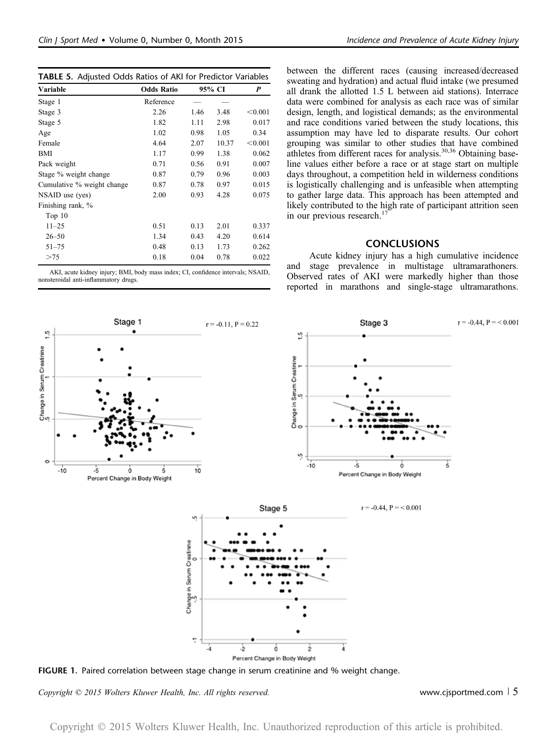|  | TABLE 5. Adjusted Odds Ratios of AKI for Predictor Variables |  |  |  |  |  |  |  |
|--|--------------------------------------------------------------|--|--|--|--|--|--|--|
|--|--------------------------------------------------------------|--|--|--|--|--|--|--|

| Variable                   | <b>Odds Ratio</b> |      | 95% CI |         |
|----------------------------|-------------------|------|--------|---------|
| Stage 1                    | Reference         |      |        |         |
| Stage 3                    | 2.26              | 1.46 | 3.48   | < 0.001 |
| Stage 5                    | 1.82              | 1.11 | 2.98   | 0.017   |
| Age                        | 1.02              | 0.98 | 1.05   | 0.34    |
| Female                     | 4.64              | 2.07 | 10.37  | < 0.001 |
| BMI                        | 1.17              | 0.99 | 1.38   | 0.062   |
| Pack weight                | 0.71              | 0.56 | 0.91   | 0.007   |
| Stage % weight change      | 0.87              | 0.79 | 0.96   | 0.003   |
| Cumulative % weight change | 0.87              | 0.78 | 0.97   | 0.015   |
| NSAID use (yes)            | 2.00              | 0.93 | 4.28   | 0.075   |
| Finishing rank, %          |                   |      |        |         |
| Top <sub>10</sub>          |                   |      |        |         |
| $11 - 25$                  | 0.51              | 0.13 | 2.01   | 0.337   |
| $26 - 50$                  | 1.34              | 0.43 | 4.20   | 0.614   |
| $51 - 75$                  | 0.48              | 0.13 | 1.73   | 0.262   |
| >75                        | 0.18              | 0.04 | 0.78   | 0.022   |

between the different races (causing increased/decreased sweating and hydration) and actual fluid intake (we presumed all drank the allotted 1.5 L between aid stations). Interrace data were combined for analysis as each race was of similar design, length, and logistical demands; as the environmental and race conditions varied between the study locations, this assumption may have led to disparate results. Our cohort grouping was similar to other studies that have combined athletes from different races for analysis.<sup>30,36</sup> Obtaining baseline values either before a race or at stage start on multiple days throughout, a competition held in wilderness conditions is logistically challenging and is unfeasible when attempting to gather large data. This approach has been attempted and likely contributed to the high rate of participant attrition seen in our previous research.<sup>17</sup>

### **CONCLUSIONS**

Acute kidney injury has a high cumulative incidence and stage prevalence in multistage ultramarathoners. Observed rates of AKI were markedly higher than those reported in marathons and single-stage ultramarathons.





FIGURE 1. Paired correlation between stage change in serum creatinine and % weight change.

Copyright © 2015 Wolters Kluwer Health, Inc. All rights reserved. Www.cjsportmed.com | 5

Copyright © 2015 Wolters Kluwer Health, Inc. Unauthorized reproduction of this article is prohibited.